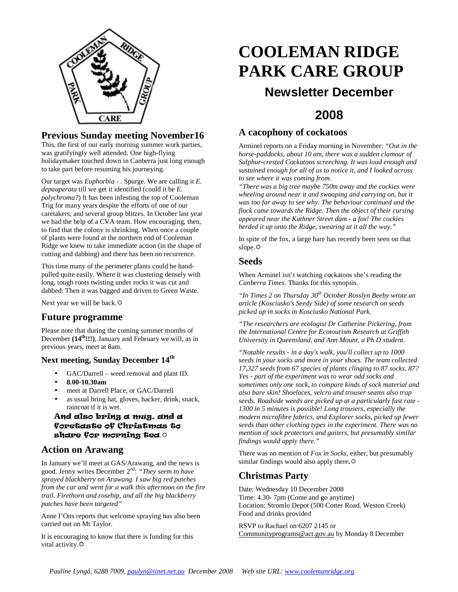

#### **Previous Sunday meeting November16**

This, the first of our early morning summer work parties, was gratifyingly well attended. One high-flying holidaymaker touched down in Canberra just long enough to take part before resuming his journeying.

Our target was *Euphorbia - .* Spurge. We are calling it *E. depauperata* till we get it identified (could it be *E. polychroma?*) It has been infesting the top of Cooleman Trig for many years despite the efforts of one of our caretakers, and several group blitzes. In October last year we had the help of a CVA team. How encouraging, then, to find that the colony is shrinking. When once a couple of plants were found at the northern end of Cooleman Ridge we knew to take immediate action (in the shape of cutting and dabbing) and there has been no recurrence.

This time many of the perimeter plants could be handpulled quite easily. Where it was clustering densely with long, tough roots twisting under rocks it was cut and dabbed. Then it was bagged and driven to Green Waste.

Next year we will be back.

#### **Future programme**

Please note that during the coming summer months of December **(14th!!!)**, January and February we will, as in previous years, meet at 8am.

#### **Next meeting, Sunday December 14th**

- GAC/Darrell weed removal and plant ID.
- **8.00-10.30am**
- meet at Darrell Place, or GAC/Darrell
- as usual bring hat, gloves, hacker, drink, snack, raincoat if it is wet.

#### And also bring a mug, and a foretaste of Christmas to share for morning tea.

## **Action on Arawang**

In January we'll meet at GAS/Arawang, and the news is good. Jenny writes December 2<sup>nd</sup>: "They seem to have *sprayed blackberry on Arawang. I saw big red patches from the car and went for a walk this afternoon on the fire trail. Firethorn and rosehip, and all the big blackberry patches have been targeted"* 

Anne I'Ons reports that welcome spraying has also been carried out on Mt Taylor.

It is encouraging to know that there is funding for this vital activity.  $\ddot{\varphi}$ 

# **COOLEMAN RIDGE PARK CARE GROUP Newsletter December**

# **2008**

#### **A cacophony of cockatoos**

Arminel reports on a Friday morning in November: *"Out in the horse-paddocks, about 10 am, there was a sudden clamour of Sulphur-crested Cockatoos screeching. It was loud enough and sustained enough for all of us to notice it, and I looked across to see where it was coming from.* 

*"There was a big tree maybe 750m away and the cockies were wheeling around near it and swooping and carrying on, but it was too far away to see why. The behaviour continued and the flock came towards the Ridge. Then the object of their cursing appeared near the Kathner Street dam - a fox! The cockies herded it up onto the Ridge, swearing at it all the way."*

In spite of the fox, a large hare has recently been seen on that slope. $\Leftrightarrow$ 

#### **Seeds**

When Arminel isn't watching cockatoos she's reading the *Canberra Times*. Thanks for this synopsis.

*"In Times 2 on Thursday 30th October Rosslyn Beeby wrote an article (Kosciusko's Seedy Side) of some research on seeds picked up in socks in Kosciusko National Park.* 

*"The researchers are ecologist Dr Catherine Pickering, from the International Centre for Ecotourism Research at Griffith University in Queensland, and Ann Mount, a Ph D student.* 

*"Notable results - in a day's walk, you'll collect up to 1000 seeds in your socks and more in your shoes. The team collected 17,327 seeds from 67 species of plants clinging to 87 socks. 87? Yes - part of the experiment was to wear odd socks and sometimes only one sock, to compare kinds of sock material and also bare skin! Shoelaces, velcro and trouser seams also trap seeds. Roadside weeds are picked up at a particularly fast rate - 1300 in 5 minutes is possible! Long trousers, especially the modern microfibre fabrics, and Explorer socks, picked up fewer seeds than other clothing types in the experiment. There was no mention of sock protectors and gaiters, but presumably similar findings would apply there."* 

There was no mention of *Fox in Socks*, either, but presumably similar findings would also apply there**.**

## **Christmas Party**

Date: Wednesday 10 December 2008 Time: 4.30- 7pm (Come and go anytime) Location: Stromlo Depot (500 Cotter Road, Weston Creek) Food and drinks provided

RSVP to Rachael on 6207 2145 or Communityprograms@act.gov.au by Monday 8 December